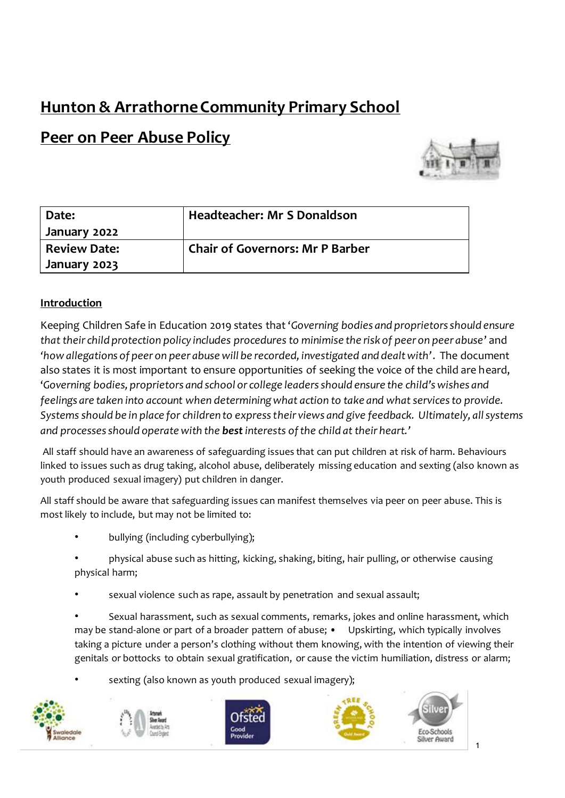# **Hunton & Arrathorne Community Primary School**

# **Peer on Peer Abuse Policy**



| Date:               | <b>Headteacher: Mr S Donaldson</b>     |
|---------------------|----------------------------------------|
| January 2022        |                                        |
| <b>Review Date:</b> | <b>Chair of Governors: Mr P Barber</b> |
| January 2023        |                                        |

# **Introduction**

Keeping Children Safe in Education 2019 states that '*Governing bodies and proprietors should ensure that their child protection policy includes procedures to minimise the risk of peer on peer abuse*' and *'how allegations of peer on peer abuse will be recorded, investigated and dealt with'*. The document also states it is most important to ensure opportunities of seeking the voice of the child are heard, '*Governing bodies, proprietors and school or college leaders should ensure the child's wishes and feelings are taken into account when determining what action to take and what services to provide. Systems should be in place for children to express their views and give feedback. Ultimately, all systems and processes should operate with the best interests of the child at their heart.'*

All staff should have an awareness of safeguarding issues that can put children at risk of harm. Behaviours linked to issues such as drug taking, alcohol abuse, deliberately missing education and sexting (also known as youth produced sexual imagery) put children in danger.

All staff should be aware that safeguarding issues can manifest themselves via peer on peer abuse. This is most likely to include, but may not be limited to:

- bullying (including cyberbullying);
- physical abuse such as hitting, kicking, shaking, biting, hair pulling, or otherwise causing physical harm;
- sexual violence such as rape, assault by penetration and sexual assault;
- Sexual harassment, such as sexual comments, remarks, jokes and online harassment, which may be stand-alone or part of a broader pattern of abuse; • Upskirting, which typically involves taking a picture under a person's clothing without them knowing, with the intention of viewing their genitals or bottocks to obtain sexual gratification, or cause the victim humiliation, distress or alarm;
- sexting (also known as youth produced sexual imagery);









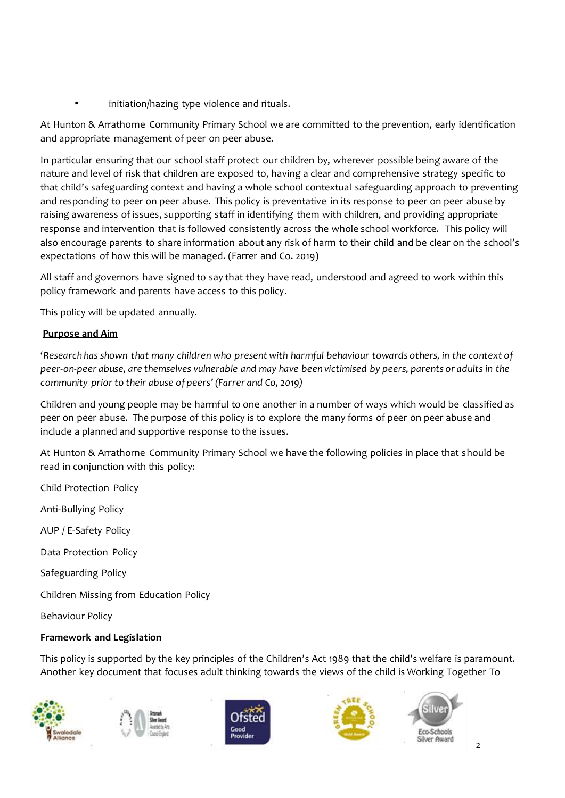initiation/hazing type violence and rituals.

At Hunton & Arrathorne Community Primary School we are committed to the prevention, early identification and appropriate management of peer on peer abuse.

In particular ensuring that our school staff protect our children by, wherever possible being aware of the nature and level of risk that children are exposed to, having a clear and comprehensive strategy specific to that child's safeguarding context and having a whole school contextual safeguarding approach to preventing and responding to peer on peer abuse. This policy is preventative in its response to peer on peer abuse by raising awareness of issues, supporting staff in identifying them with children, and providing appropriate response and intervention that is followed consistently across the whole school workforce. This policy will also encourage parents to share information about any risk of harm to their child and be clear on the school's expectations of how this will be managed. (Farrer and Co. 2019)

All staff and governors have signed to say that they have read, understood and agreed to work within this policy framework and parents have access to this policy.

This policy will be updated annually.

## **Purpose and Aim**

'*Research has shown that many children who present with harmful behaviour towards others, in the context of peer-on-peer abuse, are themselves vulnerable and may have been victimised by peers, parents or adults in the community prior to their abuse of peers' (Farrer and Co, 2019)*

Children and young people may be harmful to one another in a number of ways which would be classified as peer on peer abuse. The purpose of this policy is to explore the many forms of peer on peer abuse and include a planned and supportive response to the issues.

At Hunton & Arrathorne Community Primary School we have the following policies in place that should be read in conjunction with this policy:

Child Protection Policy Anti-Bullying Policy AUP / E-Safety Policy Data Protection Policy Safeguarding Policy Children Missing from Education Policy Behaviour Policy

## **Framework and Legislation**

This policy is supported by the key principles of the Children's Act 1989 that the child's welfare is paramount. Another key document that focuses adult thinking towards the views of the child is Working Together To

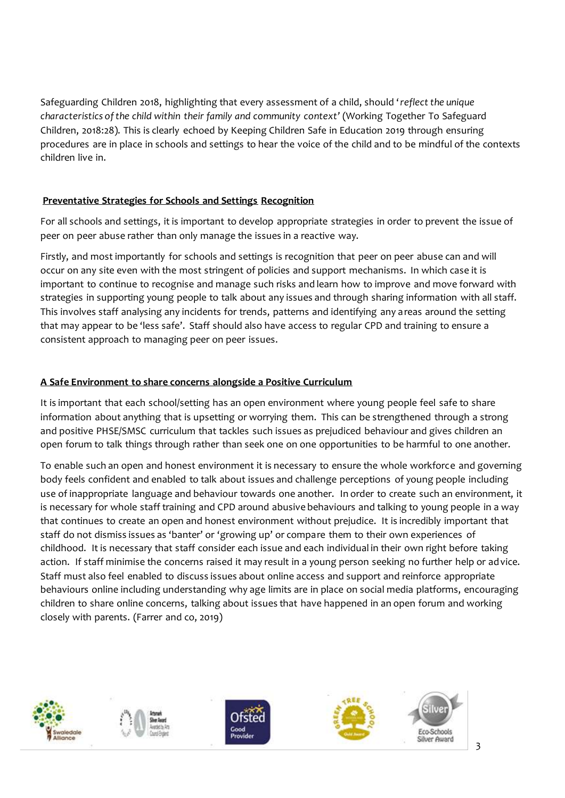Safeguarding Children 2018, highlighting that every assessment of a child, should '*reflect the unique characteristics of the child within their family and community context'* (Working Together To Safeguard Children, 2018:28). This is clearly echoed by Keeping Children Safe in Education 2019 through ensuring procedures are in place in schools and settings to hear the voice of the child and to be mindful of the contexts children live in.

## **Preventative Strategies for Schools and Settings Recognition**

For all schools and settings, it is important to develop appropriate strategies in order to prevent the issue of peer on peer abuse rather than only manage the issues in a reactive way.

Firstly, and most importantly for schools and settings is recognition that peer on peer abuse can and will occur on any site even with the most stringent of policies and support mechanisms. In which case it is important to continue to recognise and manage such risks and learn how to improve and move forward with strategies in supporting young people to talk about any issues and through sharing information with all staff. This involves staff analysing any incidents for trends, patterns and identifying any areas around the setting that may appear to be 'less safe'. Staff should also have access to regular CPD and training to ensure a consistent approach to managing peer on peer issues.

# **A Safe Environment to share concerns alongside a Positive Curriculum**

It is important that each school/setting has an open environment where young people feel safe to share information about anything that is upsetting or worrying them. This can be strengthened through a strong and positive PHSE/SMSC curriculum that tackles such issues as prejudiced behaviour and gives children an open forum to talk things through rather than seek one on one opportunities to be harmful to one another.

To enable such an open and honest environment it is necessary to ensure the whole workforce and governing body feels confident and enabled to talk about issues and challenge perceptions of young people including use of inappropriate language and behaviour towards one another. In order to create such an environment, it is necessary for whole staff training and CPD around abusive behaviours and talking to young people in a way that continues to create an open and honest environment without prejudice. It is incredibly important that staff do not dismiss issues as 'banter' or 'growing up' or compare them to their own experiences of childhood. It is necessary that staff consider each issue and each individual in their own right before taking action. If staff minimise the concerns raised it may result in a young person seeking no further help or advice. Staff must also feel enabled to discuss issues about online access and support and reinforce appropriate behaviours online including understanding why age limits are in place on social media platforms, encouraging children to share online concerns, talking about issues that have happened in an open forum and working closely with parents. (Farrer and co, 2019)

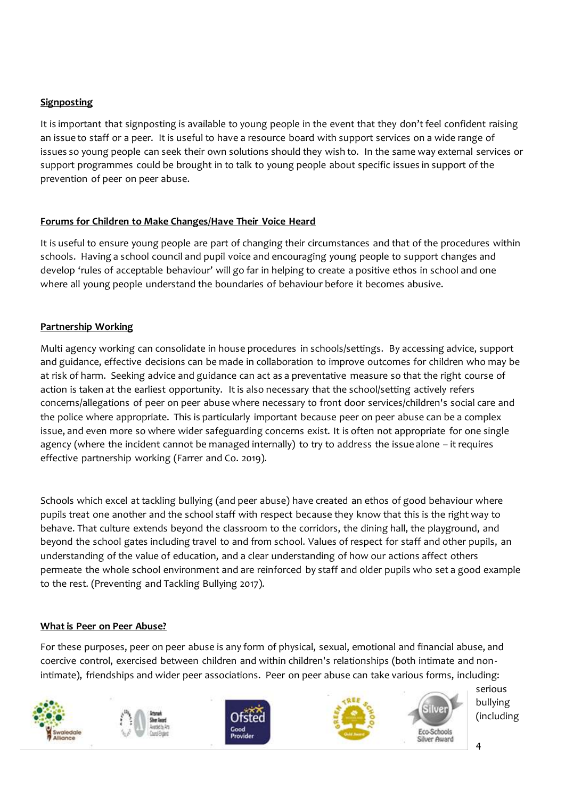## **Signposting**

It is important that signposting is available to young people in the event that they don't feel confident raising an issue to staff or a peer. It is useful to have a resource board with support services on a wide range of issues so young people can seek their own solutions should they wish to. In the same way external services or support programmes could be brought in to talk to young people about specific issues in support of the prevention of peer on peer abuse.

## **Forums for Children to Make Changes/Have Their Voice Heard**

It is useful to ensure young people are part of changing their circumstances and that of the procedures within schools. Having a school council and pupil voice and encouraging young people to support changes and develop 'rules of acceptable behaviour' will go far in helping to create a positive ethos in school and one where all young people understand the boundaries of behaviour before it becomes abusive.

## **Partnership Working**

Multi agency working can consolidate in house procedures in schools/settings. By accessing advice, support and guidance, effective decisions can be made in collaboration to improve outcomes for children who may be at risk of harm. Seeking advice and guidance can act as a preventative measure so that the right course of action is taken at the earliest opportunity. It is also necessary that the school/setting actively refers concerns/allegations of peer on peer abuse where necessary to front door services/children's social care and the police where appropriate. This is particularly important because peer on peer abuse can be a complex issue, and even more so where wider safeguarding concerns exist. It is often not appropriate for one single agency (where the incident cannot be managed internally) to try to address the issue alone – it requires effective partnership working (Farrer and Co. 2019).

Schools which excel at tackling bullying (and peer abuse) have created an ethos of good behaviour where pupils treat one another and the school staff with respect because they know that this is the right way to behave. That culture extends beyond the classroom to the corridors, the dining hall, the playground, and beyond the school gates including travel to and from school. Values of respect for staff and other pupils, an understanding of the value of education, and a clear understanding of how our actions affect others permeate the whole school environment and are reinforced by staff and older pupils who set a good example to the rest. (Preventing and Tackling Bullying 2017).

## **What is Peer on Peer Abuse?**

For these purposes, peer on peer abuse is any form of physical, sexual, emotional and financial abuse, and coercive control, exercised between children and within children's relationships (both intimate and nonintimate), friendships and wider peer associations. Peer on peer abuse can take various forms, including:

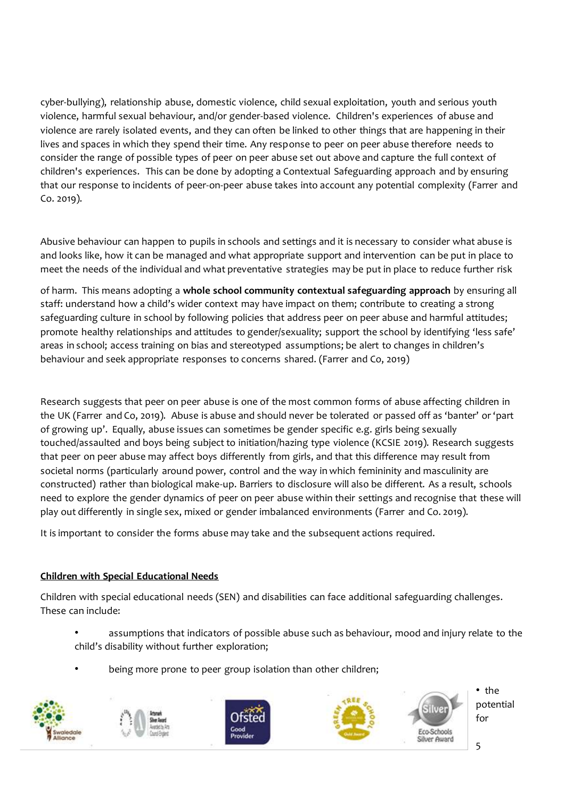cyber-bullying), relationship abuse, domestic violence, child sexual exploitation, youth and serious youth violence, harmful sexual behaviour, and/or gender-based violence. Children's experiences of abuse and violence are rarely isolated events, and they can often be linked to other things that are happening in their lives and spaces in which they spend their time. Any response to peer on peer abuse therefore needs to consider the range of possible types of peer on peer abuse set out above and capture the full context of children's experiences. This can be done by adopting a Contextual Safeguarding approach and by ensuring that our response to incidents of peer-on-peer abuse takes into account any potential complexity (Farrer and Co. 2019).

Abusive behaviour can happen to pupils in schools and settings and it is necessary to consider what abuse is and looks like, how it can be managed and what appropriate support and intervention can be put in place to meet the needs of the individual and what preventative strategies may be put in place to reduce further risk

of harm. This means adopting a **whole school community contextual safeguarding approach** by ensuring all staff: understand how a child's wider context may have impact on them; contribute to creating a strong safeguarding culture in school by following policies that address peer on peer abuse and harmful attitudes; promote healthy relationships and attitudes to gender/sexuality; support the school by identifying 'less safe' areas in school; access training on bias and stereotyped assumptions; be alert to changes in children's behaviour and seek appropriate responses to concerns shared. (Farrer and Co, 2019)

Research suggests that peer on peer abuse is one of the most common forms of abuse affecting children in the UK (Farrer and Co, 2019). Abuse is abuse and should never be tolerated or passed off as 'banter' or 'part of growing up'. Equally, abuse issues can sometimes be gender specific e.g. girls being sexually touched/assaulted and boys being subject to initiation/hazing type violence (KCSIE 2019). Research suggests that peer on peer abuse may affect boys differently from girls, and that this difference may result from societal norms (particularly around power, control and the way in which femininity and masculinity are constructed) rather than biological make-up. Barriers to disclosure will also be different. As a result, schools need to explore the gender dynamics of peer on peer abuse within their settings and recognise that these will play out differently in single sex, mixed or gender imbalanced environments (Farrer and Co. 2019).

It is important to consider the forms abuse may take and the subsequent actions required.

# **Children with Special Educational Needs**

Children with special educational needs (SEN) and disabilities can face additional safeguarding challenges. These can include:

- assumptions that indicators of possible abuse such as behaviour, mood and injury relate to the child's disability without further exploration;
- being more prone to peer group isolation than other children;

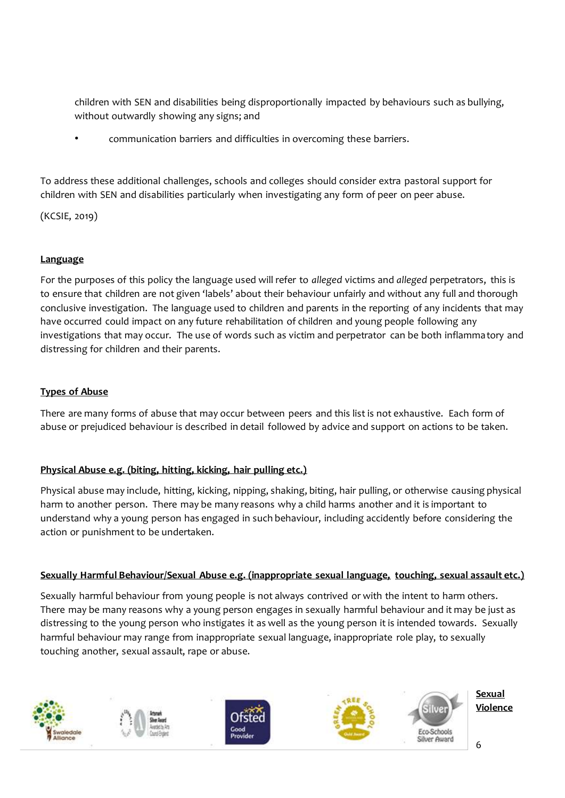children with SEN and disabilities being disproportionally impacted by behaviours such as bullying, without outwardly showing any signs; and

• communication barriers and difficulties in overcoming these barriers.

To address these additional challenges, schools and colleges should consider extra pastoral support for children with SEN and disabilities particularly when investigating any form of peer on peer abuse.

(KCSIE, 2019)

## **Language**

For the purposes of this policy the language used will refer to *alleged* victims and *alleged* perpetrators, this is to ensure that children are not given 'labels' about their behaviour unfairly and without any full and thorough conclusive investigation. The language used to children and parents in the reporting of any incidents that may have occurred could impact on any future rehabilitation of children and young people following any investigations that may occur. The use of words such as victim and perpetrator can be both inflammatory and distressing for children and their parents.

## **Types of Abuse**

There are many forms of abuse that may occur between peers and this list is not exhaustive. Each form of abuse or prejudiced behaviour is described in detail followed by advice and support on actions to be taken.

## **Physical Abuse e.g. (biting, hitting, kicking, hair pulling etc.)**

Physical abuse may include, hitting, kicking, nipping, shaking, biting, hair pulling, or otherwise causing physical harm to another person. There may be many reasons why a child harms another and it is important to understand why a young person has engaged in such behaviour, including accidently before considering the action or punishment to be undertaken.

## **Sexually Harmful Behaviour/Sexual Abuse e.g. (inappropriate sexual language, touching, sexual assault etc.)**

Sexually harmful behaviour from young people is not always contrived or with the intent to harm others. There may be many reasons why a young person engages in sexually harmful behaviour and it may be just as distressing to the young person who instigates it as well as the young person it is intended towards. Sexually harmful behaviour may range from inappropriate sexual language, inappropriate role play, to sexually touching another, sexual assault, rape or abuse.

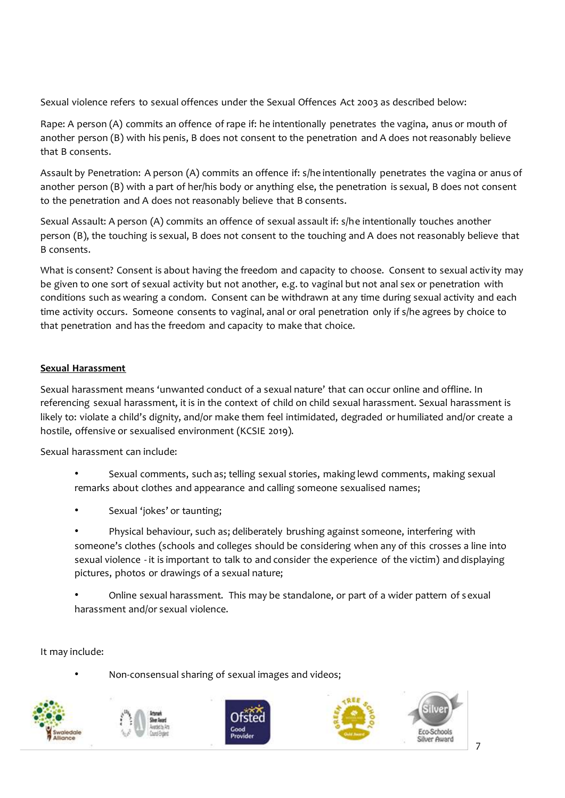Sexual violence refers to sexual offences under the Sexual Offences Act 2003 as described below:

Rape: A person (A) commits an offence of rape if: he intentionally penetrates the vagina, anus or mouth of another person (B) with his penis, B does not consent to the penetration and A does not reasonably believe that B consents.

Assault by Penetration: A person (A) commits an offence if: s/he intentionally penetrates the vagina or anus of another person (B) with a part of her/his body or anything else, the penetration is sexual, B does not consent to the penetration and A does not reasonably believe that B consents.

Sexual Assault: A person (A) commits an offence of sexual assault if: s/he intentionally touches another person (B), the touching is sexual, B does not consent to the touching and A does not reasonably believe that B consents.

What is consent? Consent is about having the freedom and capacity to choose. Consent to sexual activ ity may be given to one sort of sexual activity but not another, e.g. to vaginal but not anal sex or penetration with conditions such as wearing a condom. Consent can be withdrawn at any time during sexual activity and each time activity occurs. Someone consents to vaginal, anal or oral penetration only if s/he agrees by choice to that penetration and has the freedom and capacity to make that choice.

## **Sexual Harassment**

Sexual harassment means 'unwanted conduct of a sexual nature' that can occur online and offline. In referencing sexual harassment, it is in the context of child on child sexual harassment. Sexual harassment is likely to: violate a child's dignity, and/or make them feel intimidated, degraded or humiliated and/or create a hostile, offensive or sexualised environment (KCSIE 2019).

Sexual harassment can include:

- Sexual comments, such as; telling sexual stories, making lewd comments, making sexual remarks about clothes and appearance and calling someone sexualised names;
- Sexual 'jokes' or taunting;
- Physical behaviour, such as; deliberately brushing against someone, interfering with someone's clothes (schools and colleges should be considering when any of this crosses a line into sexual violence - it is important to talk to and consider the experience of the victim) and displaying pictures, photos or drawings of a sexual nature;
- Online sexual harassment. This may be standalone, or part of a wider pattern of sexual harassment and/or sexual violence.

It may include:

• Non-consensual sharing of sexual images and videos;

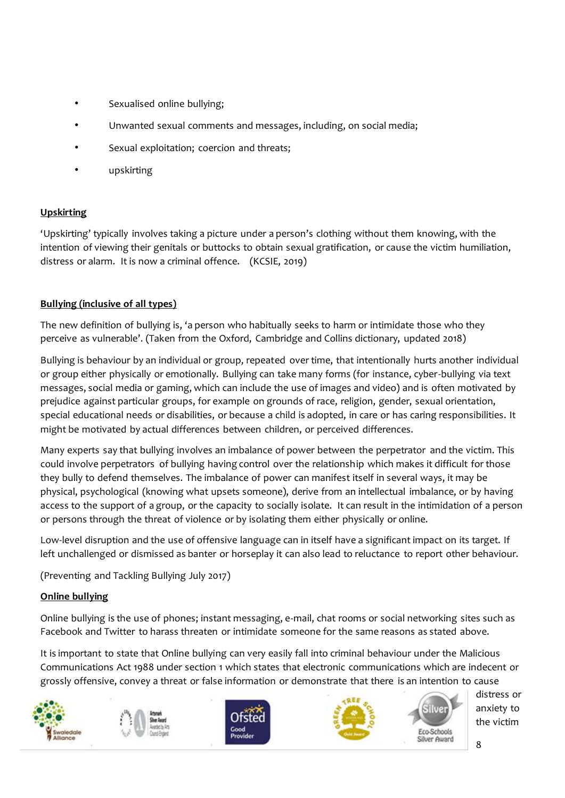- Sexualised online bullying;
- Unwanted sexual comments and messages, including, on social media;
- Sexual exploitation; coercion and threats;
- upskirting

## **Upskirting**

'Upskirting' typically involves taking a picture under a person's clothing without them knowing, with the intention of viewing their genitals or buttocks to obtain sexual gratification, or cause the victim humiliation, distress or alarm. It is now a criminal offence. (KCSIE, 2019)

## **Bullying (inclusive of all types)**

The new definition of bullying is, 'a person who habitually seeks to harm or intimidate those who they perceive as vulnerable'. (Taken from the Oxford, Cambridge and Collins dictionary, updated 2018)

Bullying is behaviour by an individual or group, repeated over time, that intentionally hurts another individual or group either physically or emotionally. Bullying can take many forms (for instance, cyber-bullying via text messages, social media or gaming, which can include the use of images and video) and is often motivated by prejudice against particular groups, for example on grounds of race, religion, gender, sexual orientation, special educational needs or disabilities, or because a child is adopted, in care or has caring responsibilities. It might be motivated by actual differences between children, or perceived differences.

Many experts say that bullying involves an imbalance of power between the perpetrator and the victim. This could involve perpetrators of bullying having control over the relationship which makes it difficult for those they bully to defend themselves. The imbalance of power can manifest itself in several ways, it may be physical, psychological (knowing what upsets someone), derive from an intellectual imbalance, or by having access to the support of a group, or the capacity to socially isolate. It can result in the intimidation of a person or persons through the threat of violence or by isolating them either physically or online.

Low-level disruption and the use of offensive language can in itself have a significant impact on its target. If left unchallenged or dismissed as banter or horseplay it can also lead to reluctance to report other behaviour.

(Preventing and Tackling Bullying July 2017)

## **Online bullying**

Online bullying is the use of phones; instant messaging, e-mail, chat rooms or social networking sites such as Facebook and Twitter to harass threaten or intimidate someone for the same reasons as stated above.

It is important to state that Online bullying can very easily fall into criminal behaviour under the Malicious Communications Act 1988 under section 1 which states that electronic communications which are indecent or grossly offensive, convey a threat or false information or demonstrate that there is an intention to cause

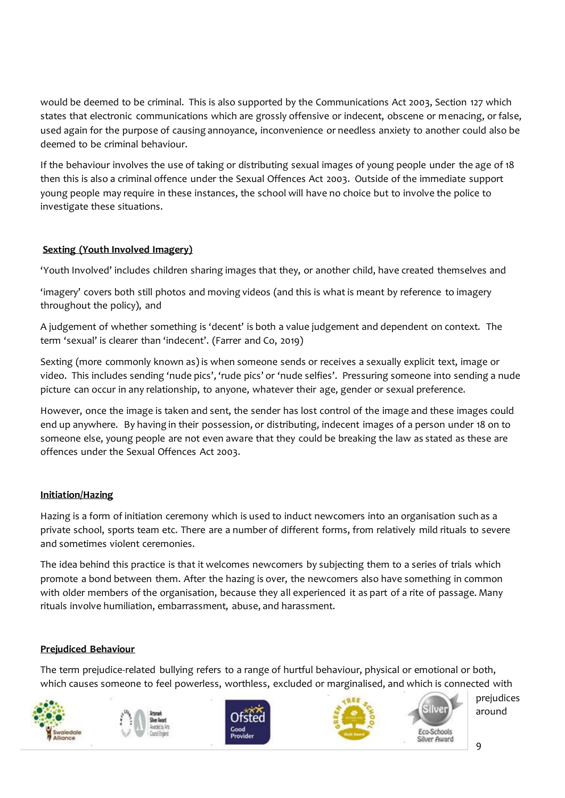would be deemed to be criminal. This is also supported by the Communications Act 2003, Section 127 which states that electronic communications which are grossly offensive or indecent, obscene or menacing, or false, used again for the purpose of causing annoyance, inconvenience or needless anxiety to another could also be deemed to be criminal behaviour.

If the behaviour involves the use of taking or distributing sexual images of young people under the age of 18 then this is also a criminal offence under the Sexual Offences Act 2003. Outside of the immediate support young people may require in these instances, the school will have no choice but to involve the police to investigate these situations.

# **Sexting (Youth Involved Imagery)**

'Youth Involved' includes children sharing images that they, or another child, have created themselves and

'imagery' covers both still photos and moving videos (and this is what is meant by reference to imagery throughout the policy), and

A judgement of whether something is 'decent' is both a value judgement and dependent on context. The term 'sexual' is clearer than 'indecent'. (Farrer and Co, 2019)

Sexting (more commonly known as) is when someone sends or receives a sexually explicit text, image or video. This includes sending 'nude pics', 'rude pics' or 'nude selfies'. Pressuring someone into sending a nude picture can occur in any relationship, to anyone, whatever their age, gender or sexual preference.

However, once the image is taken and sent, the sender has lost control of the image and these images could end up anywhere. By having in their possession, or distributing, indecent images of a person under 18 on to someone else, young people are not even aware that they could be breaking the law as stated as these are offences under the Sexual Offences Act 2003.

## **Initiation/Hazing**

Hazing is a form of initiation ceremony which is used to induct newcomers into an organisation such as a private school, sports team etc. There are a number of different forms, from relatively mild rituals to severe and sometimes violent ceremonies.

The idea behind this practice is that it welcomes newcomers by subjecting them to a series of trials which promote a bond between them. After the hazing is over, the newcomers also have something in common with older members of the organisation, because they all experienced it as part of a rite of passage. Many rituals involve humiliation, embarrassment, abuse, and harassment.

## **Prejudiced Behaviour**

The term prejudice-related bullying refers to a range of hurtful behaviour, physical or emotional or both, which causes someone to feel powerless, worthless, excluded or marginalised, and which is connected with

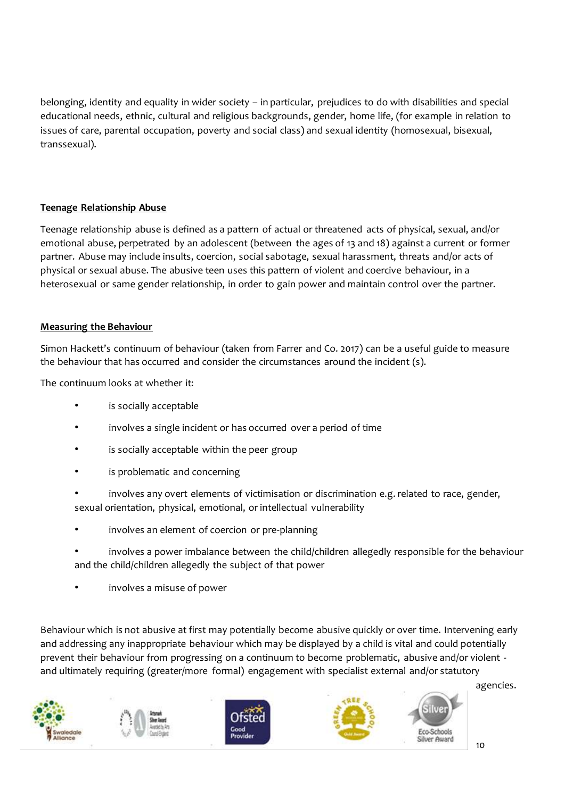belonging, identity and equality in wider society – in particular, prejudices to do with disabilities and special educational needs, ethnic, cultural and religious backgrounds, gender, home life, (for example in relation to issues of care, parental occupation, poverty and social class) and sexual identity (homosexual, bisexual, transsexual).

## **Teenage Relationship Abuse**

Teenage relationship abuse is defined as a pattern of actual or threatened acts of physical, sexual, and/or emotional abuse, perpetrated by an adolescent (between the ages of 13 and 18) against a current or former partner. Abuse may include insults, coercion, social sabotage, sexual harassment, threats and/or acts of physical or sexual abuse. The abusive teen uses this pattern of violent and coercive behaviour, in a heterosexual or same gender relationship, in order to gain power and maintain control over the partner.

## **Measuring the Behaviour**

Simon Hackett's continuum of behaviour (taken from Farrer and Co. 2017) can be a useful guide to measure the behaviour that has occurred and consider the circumstances around the incident (s).

The continuum looks at whether it:

- is socially acceptable
- involves a single incident or has occurred over a period of time
- is socially acceptable within the peer group
- is problematic and concerning
- involves any overt elements of victimisation or discrimination e.g. related to race, gender, sexual orientation, physical, emotional, or intellectual vulnerability
- involves an element of coercion or pre-planning
- involves a power imbalance between the child/children allegedly responsible for the behaviour and the child/children allegedly the subject of that power
- involves a misuse of power

Behaviour which is not abusive at first may potentially become abusive quickly or over time. Intervening early and addressing any inappropriate behaviour which may be displayed by a child is vital and could potentially prevent their behaviour from progressing on a continuum to become problematic, abusive and/or violent and ultimately requiring (greater/more formal) engagement with specialist external and/or statutory

agencies.



co-Schools Iver Award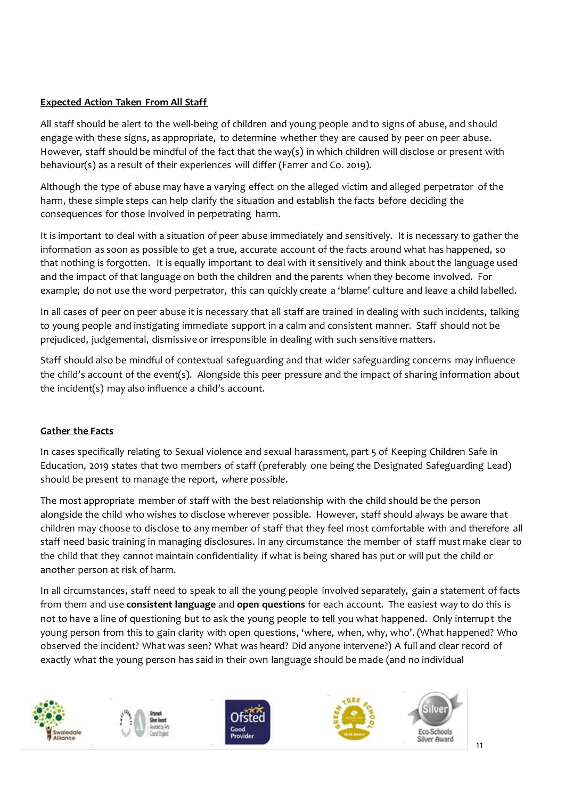## **Expected Action Taken From All Staff**

All staff should be alert to the well-being of children and young people and to signs of abuse, and should engage with these signs, as appropriate, to determine whether they are caused by peer on peer abuse. However, staff should be mindful of the fact that the way(s) in which children will disclose or present with behaviour(s) as a result of their experiences will differ (Farrer and Co. 2019).

Although the type of abuse may have a varying effect on the alleged victim and alleged perpetrator of the harm, these simple steps can help clarify the situation and establish the facts before deciding the consequences for those involved in perpetrating harm.

It is important to deal with a situation of peer abuse immediately and sensitively. It is necessary to gather the information as soon as possible to get a true, accurate account of the facts around what has happened, so that nothing is forgotten. It is equally important to deal with it sensitively and think about the language used and the impact of that language on both the children and the parents when they become involved. For example; do not use the word perpetrator, this can quickly create a 'blame' culture and leave a child labelled.

In all cases of peer on peer abuse it is necessary that all staff are trained in dealing with such incidents, talking to young people and instigating immediate support in a calm and consistent manner. Staff should not be prejudiced, judgemental, dismissive or irresponsible in dealing with such sensitive matters.

Staff should also be mindful of contextual safeguarding and that wider safeguarding concerns may influence the child's account of the event(s). Alongside this peer pressure and the impact of sharing information about the incident(s) may also influence a child's account.

## **Gather the Facts**

In cases specifically relating to Sexual violence and sexual harassment, part 5 of Keeping Children Safe in Education, 2019 states that two members of staff (preferably one being the Designated Safeguarding Lead) should be present to manage the report, *where possible*.

The most appropriate member of staff with the best relationship with the child should be the person alongside the child who wishes to disclose wherever possible. However, staff should always be aware that children may choose to disclose to any member of staff that they feel most comfortable with and therefore all staff need basic training in managing disclosures. In any circumstance the member of staff must make clear to the child that they cannot maintain confidentiality if what is being shared has put or will put the child or another person at risk of harm.

In all circumstances, staff need to speak to all the young people involved separately, gain a statement of facts from them and use **consistent language** and **open questions** for each account. The easiest way to do this is not to have a line of questioning but to ask the young people to tell you what happened. Only interrupt the young person from this to gain clarity with open questions, 'where, when, why, who'. (What happened? Who observed the incident? What was seen? What was heard? Did anyone intervene?) A full and clear record of exactly what the young person has said in their own language should be made (and no individual

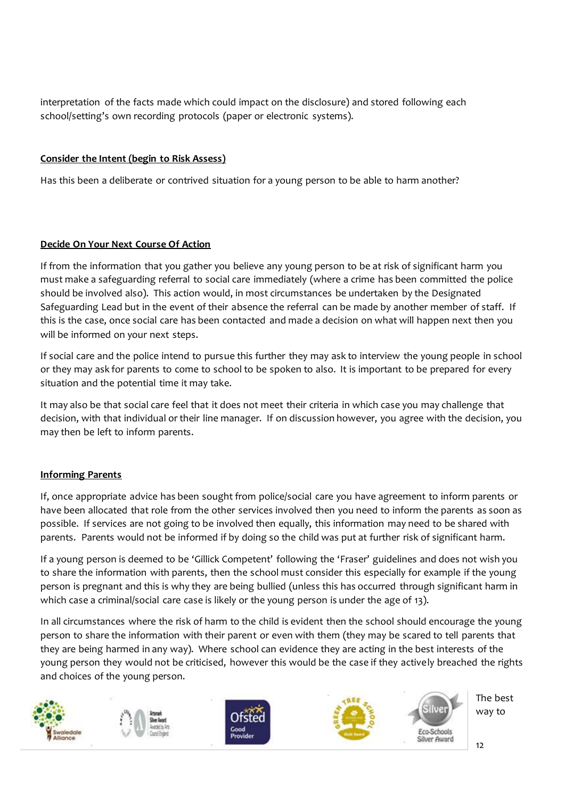interpretation of the facts made which could impact on the disclosure) and stored following each school/setting's own recording protocols (paper or electronic systems).

## **Consider the Intent (begin to Risk Assess)**

Has this been a deliberate or contrived situation for a young person to be able to harm another?

## **Decide On Your Next Course Of Action**

If from the information that you gather you believe any young person to be at risk of significant harm you must make a safeguarding referral to social care immediately (where a crime has been committed the police should be involved also). This action would, in most circumstances be undertaken by the Designated Safeguarding Lead but in the event of their absence the referral can be made by another member of staff. If this is the case, once social care has been contacted and made a decision on what will happen next then you will be informed on your next steps.

If social care and the police intend to pursue this further they may ask to interview the young people in school or they may ask for parents to come to school to be spoken to also. It is important to be prepared for every situation and the potential time it may take.

It may also be that social care feel that it does not meet their criteria in which case you may challenge that decision, with that individual or their line manager. If on discussion however, you agree with the decision, you may then be left to inform parents.

## **Informing Parents**

If, once appropriate advice has been sought from police/social care you have agreement to inform parents or have been allocated that role from the other services involved then you need to inform the parents as soon as possible. If services are not going to be involved then equally, this information may need to be shared with parents. Parents would not be informed if by doing so the child was put at further risk of significant harm.

If a young person is deemed to be 'Gillick Competent' following the 'Fraser' guidelines and does not wish you to share the information with parents, then the school must consider this especially for example if the young person is pregnant and this is why they are being bullied (unless this has occurred through significant harm in which case a criminal/social care case is likely or the young person is under the age of 13).

In all circumstances where the risk of harm to the child is evident then the school should encourage the young person to share the information with their parent or even with them (they may be scared to tell parents that they are being harmed in any way). Where school can evidence they are acting in the best interests of the young person they would not be criticised, however this would be the case if they actively breached the rights and choices of the young person.

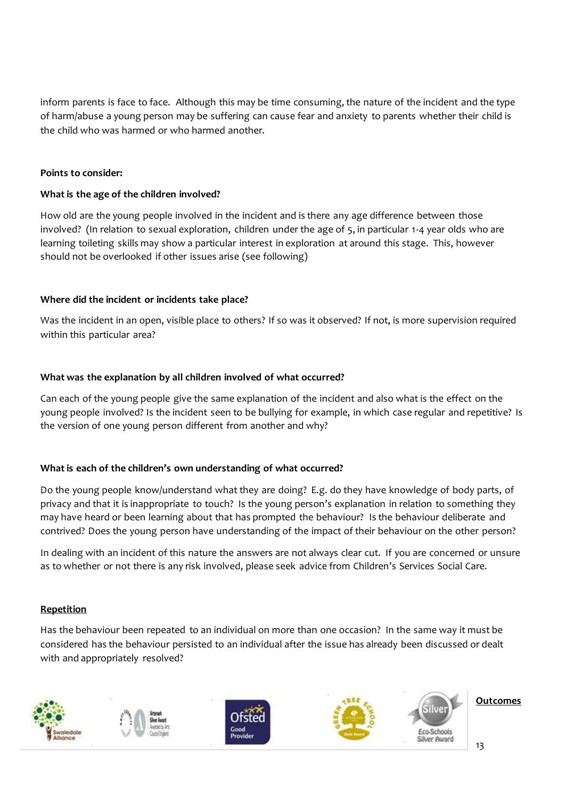inform parents is face to face. Although this may be time consuming, the nature of the incident and the type of harm/abuse a young person may be suffering can cause fear and anxiety to parents whether their child is the child who was harmed or who harmed another.

#### **Points to consider:**

#### **What is the age of the children involved?**

How old are the young people involved in the incident and is there any age difference between those involved? (In relation to sexual exploration, children under the age of 5, in particular 1-4 year olds who are learning toileting skills may show a particular interest in exploration at around this stage. This, however should not be overlooked if other issues arise (see following)

#### **Where did the incident or incidents take place?**

Was the incident in an open, visible place to others? If so was it observed? If not, is more supervision required within this particular area?

#### **What was the explanation by all children involved of what occurred?**

Can each of the young people give the same explanation of the incident and also what is the effect on the young people involved? Is the incident seen to be bullying for example, in which case regular and repetitive? Is the version of one young person different from another and why?

#### **What is each of the children's own understanding of what occurred?**

Do the young people know/understand what they are doing? E.g. do they have knowledge of body parts, of privacy and that it is inappropriate to touch? Is the young person's explanation in relation to something they may have heard or been learning about that has prompted the behaviour? Is the behaviour deliberate and contrived? Does the young person have understanding of the impact of their behaviour on the other person?

In dealing with an incident of this nature the answers are not always clear cut. If you are concerned or unsure as to whether or not there is any risk involved, please seek advice from Children's Services Social Care.

#### **Repetition**

Has the behaviour been repeated to an individual on more than one occasion? In the same way it must be considered has the behaviour persisted to an individual after the issue has already been discussed or dealt with and appropriately resolved?

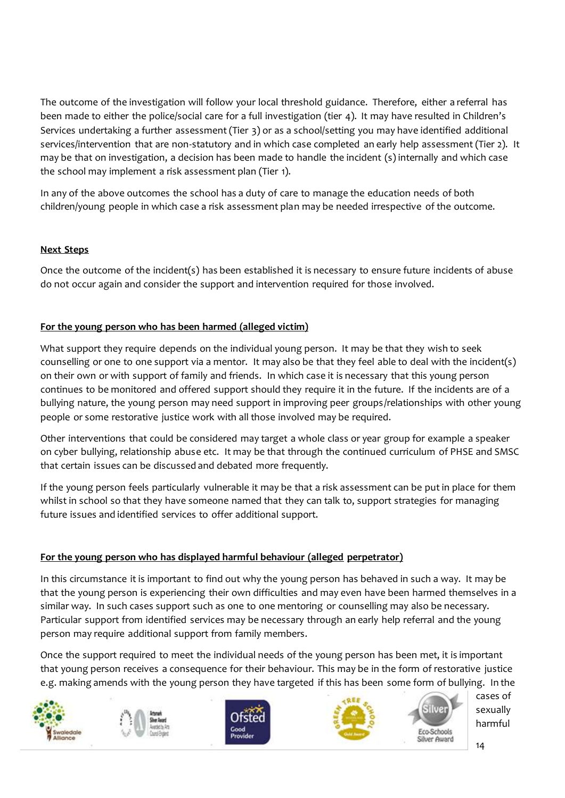The outcome of the investigation will follow your local threshold guidance. Therefore, either a referral has been made to either the police/social care for a full investigation (tier 4). It may have resulted in Children's Services undertaking a further assessment (Tier 3) or as a school/setting you may have identified additional services/intervention that are non-statutory and in which case completed an early help assessment (Tier 2). It may be that on investigation, a decision has been made to handle the incident (s) internally and which case the school may implement a risk assessment plan (Tier 1).

In any of the above outcomes the school has a duty of care to manage the education needs of both children/young people in which case a risk assessment plan may be needed irrespective of the outcome.

## **Next Steps**

Once the outcome of the incident(s) has been established it is necessary to ensure future incidents of abuse do not occur again and consider the support and intervention required for those involved.

## **For the young person who has been harmed (alleged victim)**

What support they require depends on the individual young person. It may be that they wish to seek counselling or one to one support via a mentor. It may also be that they feel able to deal with the incident(s) on their own or with support of family and friends. In which case it is necessary that this young person continues to be monitored and offered support should they require it in the future. If the incidents are of a bullying nature, the young person may need support in improving peer groups/relationships with other young people or some restorative justice work with all those involved may be required.

Other interventions that could be considered may target a whole class or year group for example a speaker on cyber bullying, relationship abuse etc. It may be that through the continued curriculum of PHSE and SMSC that certain issues can be discussed and debated more frequently.

If the young person feels particularly vulnerable it may be that a risk assessment can be put in place for them whilst in school so that they have someone named that they can talk to, support strategies for managing future issues and identified services to offer additional support.

## **For the young person who has displayed harmful behaviour (alleged perpetrator)**

In this circumstance it is important to find out why the young person has behaved in such a way. It may be that the young person is experiencing their own difficulties and may even have been harmed themselves in a similar way. In such cases support such as one to one mentoring or counselling may also be necessary. Particular support from identified services may be necessary through an early help referral and the young person may require additional support from family members.

Once the support required to meet the individual needs of the young person has been met, it is important that young person receives a consequence for their behaviour. This may be in the form of restorative justice e.g. making amends with the young person they have targeted if this has been some form of bullying. In the

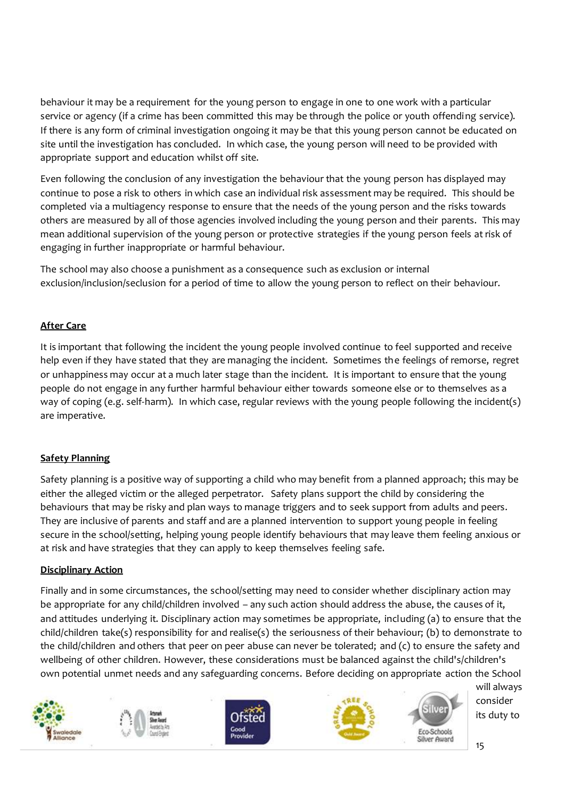behaviour it may be a requirement for the young person to engage in one to one work with a particular service or agency (if a crime has been committed this may be through the police or youth offending service). If there is any form of criminal investigation ongoing it may be that this young person cannot be educated on site until the investigation has concluded. In which case, the young person will need to be provided with appropriate support and education whilst off site.

Even following the conclusion of any investigation the behaviour that the young person has displayed may continue to pose a risk to others in which case an individual risk assessment may be required. This should be completed via a multiagency response to ensure that the needs of the young person and the risks towards others are measured by all of those agencies involved including the young person and their parents. This may mean additional supervision of the young person or protective strategies if the young person feels at risk of engaging in further inappropriate or harmful behaviour.

The school may also choose a punishment as a consequence such as exclusion or internal exclusion/inclusion/seclusion for a period of time to allow the young person to reflect on their behaviour.

# **After Care**

It is important that following the incident the young people involved continue to feel supported and receive help even if they have stated that they are managing the incident. Sometimes the feelings of remorse, regret or unhappiness may occur at a much later stage than the incident. It is important to ensure that the young people do not engage in any further harmful behaviour either towards someone else or to themselves as a way of coping (e.g. self-harm). In which case, regular reviews with the young people following the incident(s) are imperative.

# **Safety Planning**

Safety planning is a positive way of supporting a child who may benefit from a planned approach; this may be either the alleged victim or the alleged perpetrator. Safety plans support the child by considering the behaviours that may be risky and plan ways to manage triggers and to seek support from adults and peers. They are inclusive of parents and staff and are a planned intervention to support young people in feeling secure in the school/setting, helping young people identify behaviours that may leave them feeling anxious or at risk and have strategies that they can apply to keep themselves feeling safe.

## **Disciplinary Action**

Finally and in some circumstances, the school/setting may need to consider whether disciplinary action may be appropriate for any child/children involved – any such action should address the abuse, the causes of it, and attitudes underlying it. Disciplinary action may sometimes be appropriate, including (a) to ensure that the child/children take(s) responsibility for and realise(s) the seriousness of their behaviour; (b) to demonstrate to the child/children and others that peer on peer abuse can never be tolerated; and (c) to ensure the safety and wellbeing of other children. However, these considerations must be balanced against the child's/children's own potential unmet needs and any safeguarding concerns. Before deciding on appropriate action the School